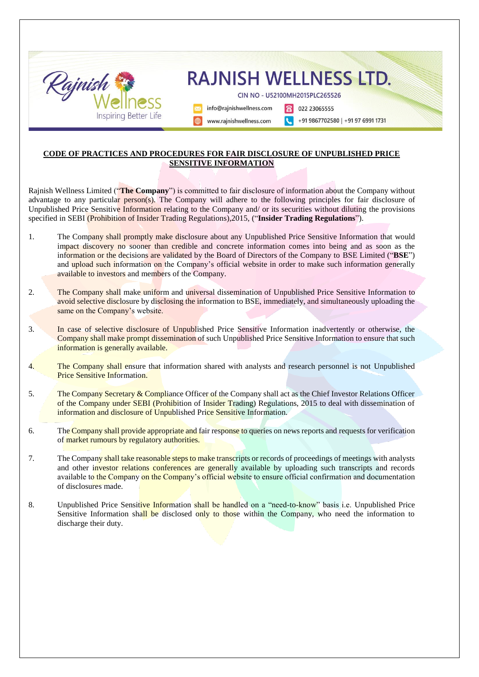

## **CODE OF PRACTICES AND PROCEDURES FOR FAIR DISCLOSURE OF UNPUBLISHED PRICE SENSITIVE INFORMATION**

Rajnish Wellness Limited ("**The Company**") is committed to fair disclosure of information about the Company without advantage to any particular person(s). The Company will adhere to the following principles for fair disclosure of Unpublished Price Sensitive Information relating to the Company and/ or its securities without diluting the provisions specified in SEBI (Prohibition of Insider Trading Regulations),2015, ("**Insider Trading Regulations**").

- 1. The Company shall promptly make disclosure about any Unpublished Price Sensitive Information that would impact discovery no sooner than credible and concrete information comes into being and as soon as the information or the decisions are validated by the Board of Directors of the Company to BSE Limited ("**BSE**") and upload such information on the Company's official website in order to make such information generally available to investors and members of the Company.
- 2. The Company shall make uniform and universal dissemination of Unpublished Price Sensitive Information to avoid selective disclosure by disclosing the information to BSE, immediately, and simultaneously uploading the same on the Company's website.
- 3. In case of selective disclosure of Unpublished Price Sensitive Information inadvertently or otherwise, the Company shall make prompt dissemination of such Unpublished Price Sensitive Information to ensure that such information is generally available.
- 4. The Company shall ensure that information shared with analysts and research personnel is not Unpublished Price Sensitive Information.
- 5. The Company Secretary & Compliance Officer of the Company shall act as the Chief Investor Relations Officer of the Company under SEBI (Prohibition of Insider Trading) Regulations, 2015 to deal with dissemination of information and disclosure of Unpublished Price Sensitive Information.
- 6. The Company shall provide appropriate and fair response to queries on news reports and requests for verification of market rumours by regulatory authorities.
- 7. The Company shall take reasonable steps to make transcripts or records of proceedings of meetings with analysts and other investor relations conferences are generally available by uploading such transcripts and records available to the Company on the Company's official website to ensure official confirmation and documentation of disclosures made.
- 8. Unpublished Price Sensitive Information shall be handled on a "need-to-know" basis i.e. Unpublished Price Sensitive Information shall be disclosed only to those within the Company, who need the information to discharge their duty.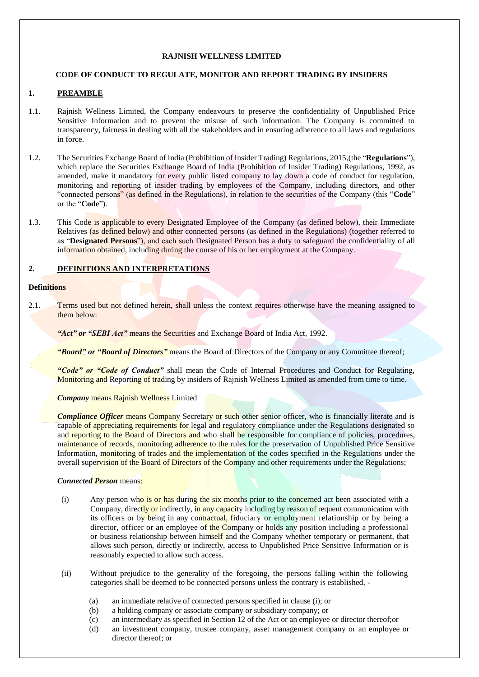## **RAJNISH WELLNESS LIMITED**

## **CODE OF CONDUCT TO REGULATE, MONITOR AND REPORT TRADING BY INSIDERS**

# **1. PREAMBLE**

- 1.1. Rajnish Wellness Limited, the Company endeavours to preserve the confidentiality of Unpublished Price Sensitive Information and to prevent the misuse of such information. The Company is committed to transparency, fairness in dealing with all the stakeholders and in ensuring adherence to all laws and regulations in force.
- 1.2. The Securities Exchange Board of India (Prohibition of Insider Trading) Regulations, 2015,(the "**Regulations**"), which replace the Securities Exchange Board of India (Prohibition of Insider Trading) Regulations, 1992, as amended, make it mandatory for every public listed company to lay down a code of conduct for regulation, monitoring and reporting of insider trading by employees of the Company, including directors, and other "connected persons" (as defined in the Regulations), in relation to the securities of the Company (this "**Code**" or the "**Code**").
- 1.3. This Code is applicable to every Designated Employee of the Company (as defined below), their Immediate Relatives (as defined below) and other connected persons (as defined in the Regulations) (together referred to as "**Designated Persons**"), and each such Designated Person has a duty to safeguard the confidentiality of all information obtained, including during the course of his or her employment at the Company.

# **2. DEFINITIONS AND INTERPRETATIONS**

## **Definitions**

2.1. Terms used but not defined herein, shall unless the context requires otherwise have the meaning assigned to them below:

*"Act" or "SEBI Act"* means the Securities and Exchange Board of India Act, 1992.

*"Board" or "Board of Directors"* means the Board of Directors of the Company or any Committee thereof;

*"Code" or "Code of Conduct"* shall mean the Code of Internal Procedures and Conduct for Regulating, Monitoring and Reporting of trading by insiders of Rajnish Wellness Limited as amended from time to time.

*Company* means Rajnish Wellness Limited

**Compliance Officer means Company Secretary or such other senior officer, who is financially literate and is** capable of appreciating requirements for legal and regulatory compliance under the Regulations designated so and reporting to the Board of Directors and who shall be responsible for compliance of policies, procedures, maintenance of records, monitoring adherence to the rules for the preservation of Unpublished Price Sensitive Information, monitoring of trades and the implementation of the codes specified in the Regulations under the overall supervision of the Board of Directors of the Company and other requirements under the Regulations;

## *Connected Person* means:

- (i) Any person who is or has during the six months prior to the concerned act been associated with a Company, directly or indirectly, in any capacity including by reason of requent communication with its officers or by being in any contractual, fiduciary or employment relationship or by being a director, officer or an employee of the Company or holds any position including a professional or business relationship between himself and the Company whether temporary or permanent, that allows such person, directly or indirectly, access to Unpublished Price Sensitive Information or is reasonably expected to allow such access.
- (ii) Without prejudice to the generality of the foregoing, the persons falling within the following categories shall be deemed to be connected persons unless the contrary is established, -
	- (a) an immediate relative of connected persons specified in clause (i); or
	- (b) a holding company or associate company or subsidiary company; or
	- (c) an intermediary as specified in Section 12 of the Act or an employee or director thereof;or
	- (d) an investment company, trustee company, asset management company or an employee or director thereof; or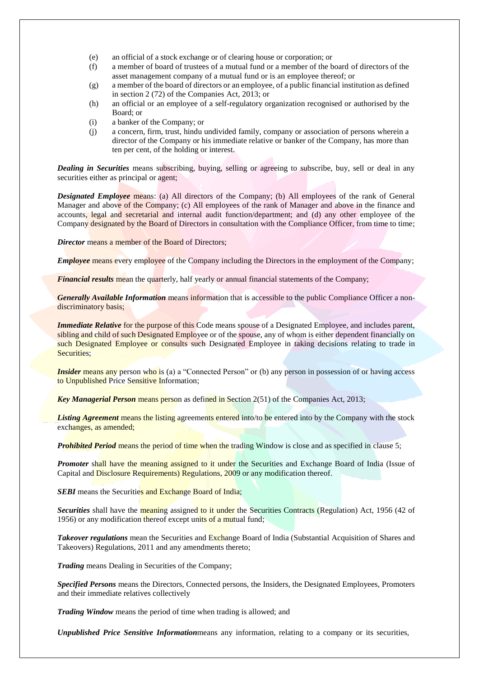- (e) an official of a stock exchange or of clearing house or corporation; or
- (f) a member of board of trustees of a mutual fund or a member of the board of directors of the asset management company of a mutual fund or is an employee thereof; or
- (g) a member of the board of directors or an employee, of a public financial institution as defined in section 2 (72) of the Companies Act, 2013; or
- (h) an official or an employee of a self-regulatory organization recognised or authorised by the Board; or
- (i) a banker of the Company; or
- (j) a concern, firm, trust, hindu undivided family, company or association of persons wherein a director of the Company or his immediate relative or banker of the Company, has more than ten per cent, of the holding or interest.

*Dealing in Securities* means subscribing, buying, selling or agreeing to subscribe, buy, sell or deal in any securities either as principal or agent;

*Designated Employee* means: (a) All directors of the Company; (b) All employees of the rank of General Manager and above of the Company; (c) All employees of the rank of Manager and above in the finance and accounts, legal and secretarial and internal audit function/department; and (d) any other employee of the Company designated by the Board of Directors in consultation with the Compliance Officer, from time to time;

*Director* means a member of the Board of Directors;

*Employee* means every employee of the Company including the Directors in the employment of the Company;

*Financial results* mean the quarterly, half yearly or annual financial statements of the Company;

*Generally Available Information* means information that is accessible to the public Compliance Officer a nondiscriminatory basis;

*Immediate Relative* for the purpose of this Code means spouse of a Designated Employee, and includes parent, sibling and child of such Designated Employee or of the spouse, any of whom is either dependent financially on such Designated Employee or consults such Designated Employee in taking decisions relating to trade in Securities:

*Insider* means any person who is (a) a "Connected Person" or (b) any person in possession of or having access to Unpublished Price Sensitive Information;

*Key Managerial Person* means person as defined in Section 2(51) of the Companies Act, 2013;

*Listing Agreement* means the listing agreements entered into/to be entered into by the Company with the stock exchanges, as amended;

**Prohibited Period** means the period of time when the trading Window is close and as specified in clause 5;

**Promoter** shall have the meaning assigned to it under the Securities and Exchange Board of India (Issue of Capital and Disclosure Requirements) Regulations, 2009 or any modification thereof.

**SEBI** means the Securities and Exchange Board of India;

**Securities** shall have the **meaning** assigned to it under the Securities Contracts (Regulation) Act, 1956 (42 of 1956) or any modification thereof except units of a mutual fund;

*Takeover regulations* mean the Securities and Exchange Board of India (Substantial Acquisition of Shares and Takeovers) Regulations, 2011 and any amendments thereto;

*Trading* means Dealing in Securities of the Company;

*Specified Persons* means the Directors, Connected persons, the Insiders, the Designated Employees, Promoters and their immediate relatives collectively

*Trading Window* means the period of time when trading is allowed; and

*Unpublished Price Sensitive Information*means any information, relating to a company or its securities,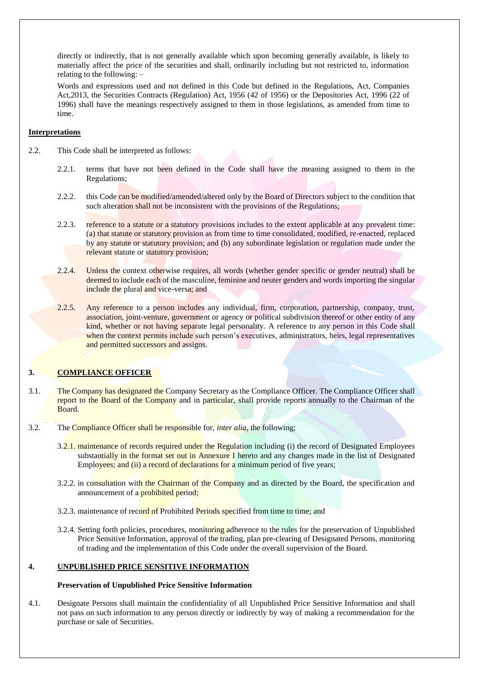directly or indirectly, that is not generally available which upon becoming generally available, is likely to materially affect the price of the securities and shall, ordinarily including but not restricted to, information relating to the following: –

Words and expressions used and not defined in this Code but defined in the Regulations, Act, Companies Act,2013, the Securities Contracts (Regulation) Act, 1956 (42 of 1956) or the Depositories Act, 1996 (22 of 1996) shall have the meanings respectively assigned to them in those legislations, as amended from time to time.

## **Interpretations**

- 2.2. This Code shall be interpreted as follows:
	- 2.2.1. terms that have not been defined in the Code shall have the meaning assigned to them in the Regulations;
	- 2.2.2. this Code can be modified/amended/altered only by the Board of Directors subject to the condition that such alteration shall not be inconsistent with the provisions of the Regulations;
	- 2.2.3. reference to a statute or a statutory provisions includes to the extent applicable at any prevalent time: (a) that statute or statutory provision as from time to time consolidated, modified, re-enacted, replaced by any statute or statutory provision; and (b) any subordinate legislation or regulation made under the relevant statute or statutory provision;
	- 2.2.4. Unless the context otherwise requires, all words (whether gender specific or gender neutral) shall be deemed to include each of the masculine, feminine and neuter genders and words importing the singular include the plural and vice-versa; and
	- 2.2.5. Any reference to a person includes any individual, firm, corporation, partnership, company, trust, association, joint-venture, government or agency or political subdivision thereof or other entity of any kind, whether or not having separate legal personality. A reference to any person in this Code shall when the context permits include such person's executives, administrators, heirs, legal representatives and permitted successors and assigns.

# **3. COMPLIANCE OFFICER**

- 3.1. The Company has designated the Company Secretary as the Compliance Officer. The Compliance Officer shall report to the Board of the Company and in particular, shall provide reports annually to the Chairman of the Board.
- 3.2. The Compliance Officer shall be responsible for, *inter alia*, the following;
	- 3.2.1. maintenance of records required under the Regulation including (i) the record of Designated Employees substantially in the format set out in Annexure I hereto and any changes made in the list of Designated Employees; and (ii) a record of declarations for a minimum period of five years;
	- 3.2.2. in consultation with the Chairman of the Company and as directed by the Board, the specification and announcement of a prohibited period;
	- 3.2.3. maintenance of record of Prohibited Periods specified from time to time; and
	- 3.2.4. Setting forth policies, procedures, monitoring adherence to the rules for the preservation of Unpublished Price Sensitive Information, approval of the trading, plan pre-clearing of Designated Persons, monitoring of trading and the implementation of this Code under the overall supervision of the Board.

# **4. UNPUBLISHED PRICE SENSITIVE INFORMATION**

## **Preservation of Unpublished Price Sensitive Information**

4.1. Designate Persons shall maintain the confidentiality of all Unpublished Price Sensitive Information and shall not pass on such information to any person directly or indirectly by way of making a recommendation for the purchase or sale of Securities.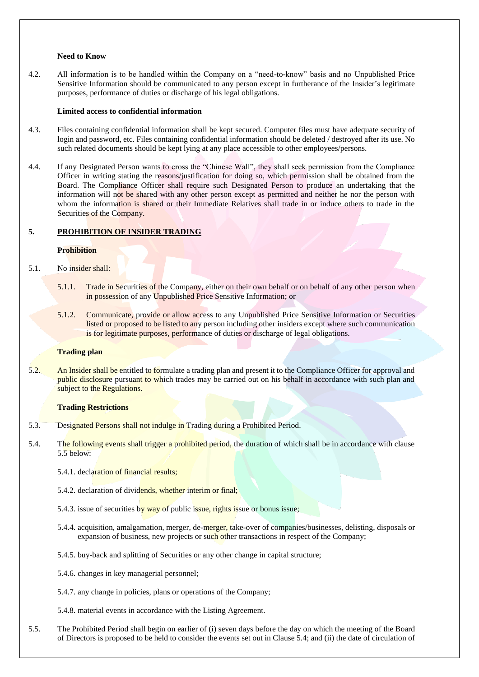#### **Need to Know**

4.2. All information is to be handled within the Company on a "need-to-know" basis and no Unpublished Price Sensitive Information should be communicated to any person except in furtherance of the Insider's legitimate purposes, performance of duties or discharge of his legal obligations.

#### **Limited access to confidential information**

- 4.3. Files containing confidential information shall be kept secured. Computer files must have adequate security of login and password, etc. Files containing confidential information should be deleted / destroyed after its use. No such related documents should be kept lying at any place accessible to other employees/persons.
- 4.4. If any Designated Person wants to cross the "Chinese Wall", they shall seek permission from the Compliance Officer in writing stating the reasons/justification for doing so, which permission shall be obtained from the Board. The Compliance Officer shall require such Designated Person to produce an undertaking that the information will not be shared with any other person except as permitted and neither he nor the person with whom the information is shared or their Immediate Relatives shall trade in or induce others to trade in the Securities of the Company.

## **5. PROHIBITION OF INSIDER TRADING**

## **Prohibition**

- 5.1. No insider shall:
	- 5.1.1. Trade in Securities of the Company, either on their own behalf or on behalf of any other person when in possession of any Unpublished Price Sensitive Information; or
	- 5.1.2. Communicate, provide or allow access to any Unpublished Price Sensitive Information or Securities listed or proposed to be listed to any person including other insiders except where such communication is for legitimate purposes, performance of duties or discharge of legal obligations.

#### **Trading plan**

5.2. An Insider shall be entitled to formulate a trading plan and present it to the Compliance Officer for approval and public disclosure pursuant to which trades may be carried out on his behalf in accordance with such plan and subject to the Regulations.

#### **Trading Restrictions**

- 5.3. Designated Persons shall not indulge in Trading during a Prohibited Period.
- 5.4. The following events shall trigger a prohibited period, the duration of which shall be in accordance with clause 5.5 below:
	- 5.4.1. declaration of financial results;
	- 5.4.2. declaration of dividends, whether interim or final;
	- 5.4.3. issue of securities by way of public issue, rights issue or bonus issue;
	- 5.4.4. acquisition, amalgamation, merger, de-merger, take-over of companies/businesses, delisting, disposals or expansion of business, new projects or such other transactions in respect of the Company;
	- 5.4.5. buy-back and splitting of Securities or any other change in capital structure;
	- 5.4.6. changes in key managerial personnel;
	- 5.4.7. any change in policies, plans or operations of the Company;
	- 5.4.8. material events in accordance with the Listing Agreement.
- 5.5. The Prohibited Period shall begin on earlier of (i) seven days before the day on which the meeting of the Board of Directors is proposed to be held to consider the events set out in Clause 5.4; and (ii) the date of circulation of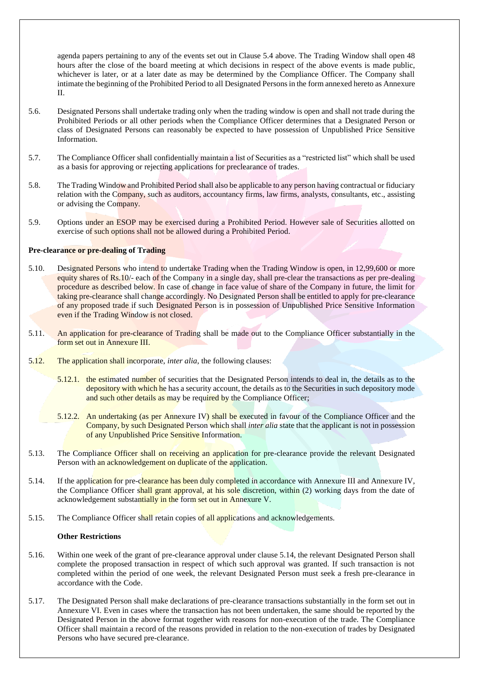agenda papers pertaining to any of the events set out in Clause 5.4 above. The Trading Window shall open 48 hours after the close of the board meeting at which decisions in respect of the above events is made public, whichever is later, or at a later date as may be determined by the Compliance Officer. The Company shall intimate the beginning of the Prohibited Period to all Designated Persons in the form annexed hereto as Annexure II.

- 5.6. Designated Persons shall undertake trading only when the trading window is open and shall not trade during the Prohibited Periods or all other periods when the Compliance Officer determines that a Designated Person or class of Designated Persons can reasonably be expected to have possession of Unpublished Price Sensitive Information.
- 5.7. The Compliance Officer shall confidentially maintain a list of Securities as a "restricted list" which shall be used as a basis for approving or rejecting applications for preclearance of trades.
- 5.8. The Trading Window and Prohibited Period shall also be applicable to any person having contractual or fiduciary relation with the Company, such as auditors, accountancy firms, law firms, analysts, consultants, etc., assisting or advising the Company.
- 5.9. Options under an ESOP may be exercised during a Prohibited Period. However sale of Securities allotted on exercise of such options shall not be allowed during a Prohibited Period.

#### **Pre-clearance or pre-dealing of Trading**

- 5.10. Designated Persons who intend to undertake Trading when the Trading Window is open, in 12,99,600 or more equity shares of Rs.10/- each of the Company in a single day, shall pre-clear the transactions as per pre-dealing procedure as described below. In case of change in face value of share of the Company in future, the limit for taking pre-clearance shall change accordingly. No Designated Person shall be entitled to apply for pre-clearance of any proposed trade if such Designated Person is in possession of Unpublished Price Sensitive Information even if the Trading Window is not closed.
- 5.11. An application for pre-clearance of Trading shall be made out to the Compliance Officer substantially in the form set out in Annexure III.
- 5.12. The application shall incorporate, *inter alia*, the following clauses:
	- 5.12.1. the estimated number of securities that the Designated Person intends to deal in, the details as to the depository with which he has a security account, the details as to the Securities in such depository mode and such other details as may be required by the Compliance Officer;
	- 5.12.2. An undertaking (as per Annexure IV) shall be executed in favour of the Compliance Officer and the Company, by such Designated Person which shall *inter alia* state that the applicant is not in possession of any Unpublished Price Sensitive Information.
- 5.13. The Compliance Officer shall on receiving an application for pre-clearance provide the relevant Designated Person with an acknowledgement on duplicate of the application.
- 5.14. If the application for pre-clearance has been duly completed in accordance with Annexure III and Annexure IV, the Compliance Officer shall grant approval, at his sole discretion, within (2) working days from the date of acknowledgement substantially in the form set out in Annexure V.
- 5.15. The Compliance Officer shall retain copies of all applications and acknowledgements.

#### **Other Restrictions**

- 5.16. Within one week of the grant of pre-clearance approval under clause 5.14, the relevant Designated Person shall complete the proposed transaction in respect of which such approval was granted. If such transaction is not completed within the period of one week, the relevant Designated Person must seek a fresh pre-clearance in accordance with the Code.
- 5.17. The Designated Person shall make declarations of pre-clearance transactions substantially in the form set out in Annexure VI. Even in cases where the transaction has not been undertaken, the same should be reported by the Designated Person in the above format together with reasons for non-execution of the trade. The Compliance Officer shall maintain a record of the reasons provided in relation to the non-execution of trades by Designated Persons who have secured pre-clearance.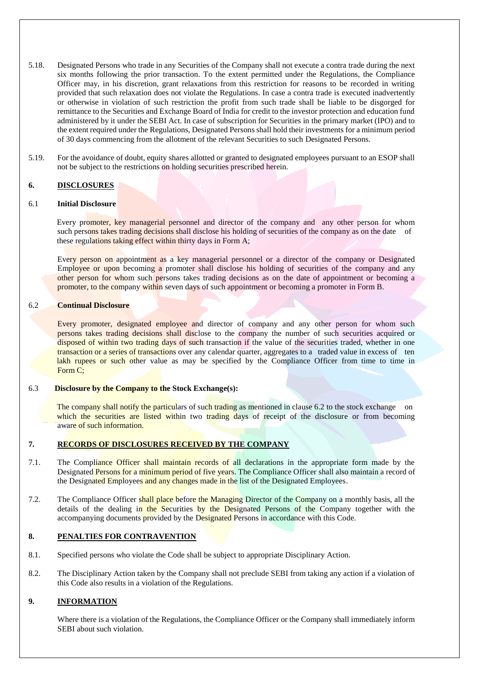- 5.18. Designated Persons who trade in any Securities of the Company shall not execute a contra trade during the next six months following the prior transaction. To the extent permitted under the Regulations, the Compliance Officer may, in his discretion, grant relaxations from this restriction for reasons to be recorded in writing provided that such relaxation does not violate the Regulations. In case a contra trade is executed inadvertently or otherwise in violation of such restriction the profit from such trade shall be liable to be disgorged for remittance to the Securities and Exchange Board of India for credit to the investor protection and education fund administered by it under the SEBI Act. In case of subscription for Securities in the primary market (IPO) and to the extent required under the Regulations, Designated Persons shall hold their investments for a minimum period of 30 days commencing from the allotment of the relevant Securities to such Designated Persons.
- 5.19. For the avoidance of doubt, equity shares allotted or granted to designated employees pursuant to an ESOP shall not be subject to the restrictions on holding securities prescribed herein.

## **6. DISCLOSURES**

#### 6.1 **Initial Disclosure**

Every promoter, key managerial personnel and director of the company and any other person for whom such persons takes trading decisions shall disclose his holding of securities of the company as on the date of these regulations taking effect within thirty days in Form A;

Every person on appointment as a key managerial personnel or a director of the company or Designated Employee or upon becoming a promoter shall disclose his holding of securities of the company and any other person for whom such persons takes trading decisions as on the date of appointment or becoming a promoter, to the company within seven days of such appointment or becoming a promoter in Form B.

#### 6.2 **Continual Disclosure**

Every promoter, designated employee and director of company and any other person for whom such persons takes trading decisions shall disclose to the company the number of such securities acquired or disposed of within two trading days of such transaction if the value of the securities traded, whether in one transaction or a series of transactions over any calendar quarter, aggregates to a traded value in excess of ten lakh rupees or such other value as may be specified by the Compliance Officer from time to time in Form C;

#### 6.3 **Disclosure by the Company to the Stock Exchange(s):**

The company shall notify the particulars of such trading as mentioned in clause 6.2 to the stock exchange on which the securities are listed within two trading days of receipt of the disclosure or from becoming aware of such information.

## **7. RECORDS OF DISCLOSURES RECEIVED BY THE COMPANY**

- 7.1. The Compliance Officer shall maintain records of all declarations in the appropriate form made by the Designated Persons for a minimum period of five years. The Compliance Officer shall also maintain a record of the Designated Employees and any changes made in the list of the Designated Employees.
- 7.2. The Compliance Officer shall place before the Managing Director of the Company on a monthly basis, all the details of the dealing in the Securities by the Designated Persons of the Company together with the accompanying documents provided by the Designated Persons in accordance with this Code.

#### **8. PENALTIES FOR CONTRAVENTION**

- 8.1. Specified persons who violate the Code shall be subject to appropriate Disciplinary Action.
- 8.2. The Disciplinary Action taken by the Company shall not preclude SEBI from taking any action if a violation of this Code also results in a violation of the Regulations.

#### **9. INFORMATION**

Where there is a violation of the Regulations, the Compliance Officer or the Company shall immediately inform SEBI about such violation.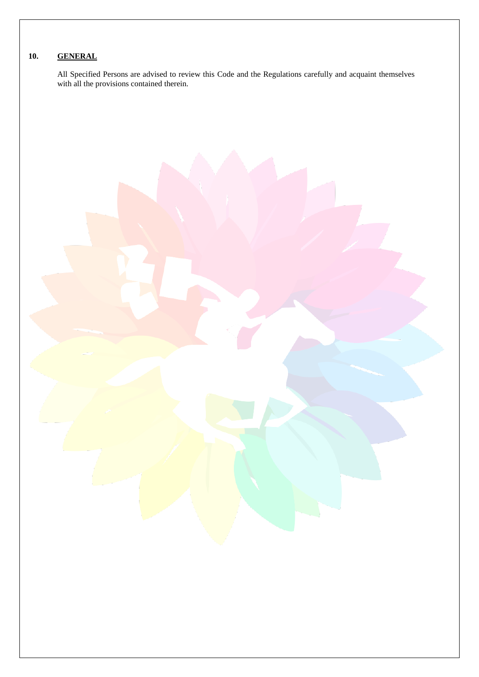# **10. GENERAL**

All Specified Persons are advised to review this Code and the Regulations carefully and acquaint themselves with all the provisions contained therein.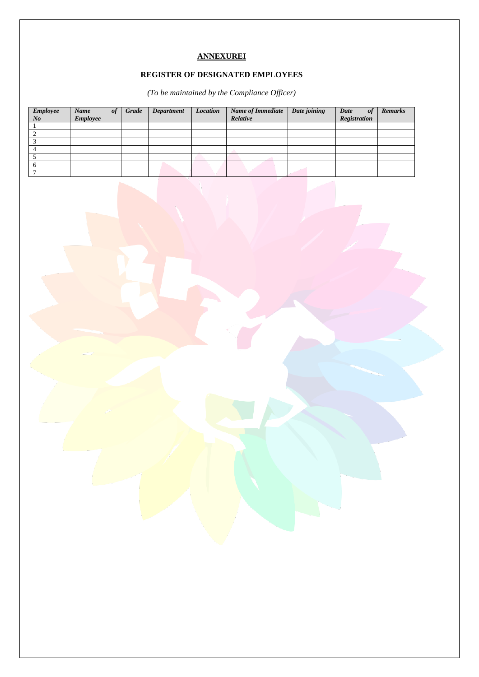# **ANNEXUREI**

# **REGISTER OF DESIGNATED EMPLOYEES**

*(To be maintained by the Compliance Officer)*

| <b>Employee</b> | Name     | of | Grade | Department | <b>Location</b> | <b>Name of Immediate</b> | Date joining | Date<br>of          | <b>Remarks</b> |
|-----------------|----------|----|-------|------------|-----------------|--------------------------|--------------|---------------------|----------------|
| N o             | Employee |    |       |            |                 | Relative                 |              | <b>Registration</b> |                |
|                 |          |    |       |            |                 |                          |              |                     |                |
|                 |          |    |       |            |                 |                          |              |                     |                |
|                 |          |    |       |            |                 |                          |              |                     |                |
|                 |          |    |       |            |                 |                          |              |                     |                |
|                 |          |    |       |            |                 |                          |              |                     |                |
|                 |          |    |       |            |                 |                          |              |                     |                |
|                 |          |    |       |            |                 |                          |              |                     |                |

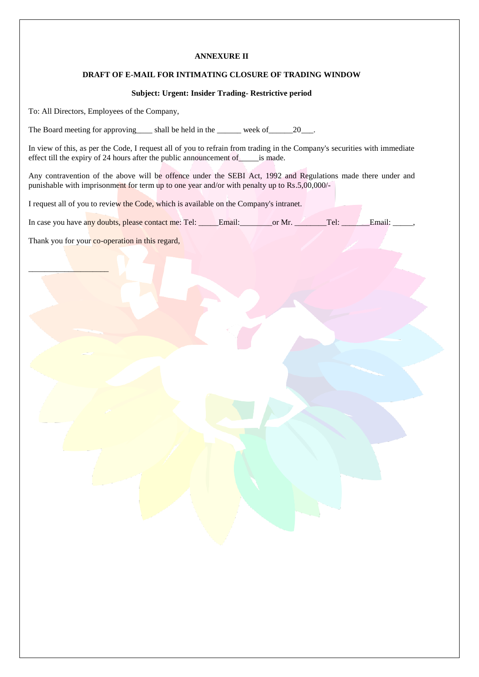#### **ANNEXURE II**

#### **DRAFT OF E-MAIL FOR INTIMATING CLOSURE OF TRADING WINDOW**

## **Subject: Urgent: Insider Trading- Restrictive period**

To: All Directors, Employees of the Company,

The Board meeting for approving shall be held in the week of  $20$ .

In view of this, as per the Code, I request all of you to refrain from trading in the Company's securities with immediate effect till the expiry of 24 hours after the public announcement of \_\_\_\_\_\_\_is made.

Any contravention of the above will be offence under the SEBI Act, 1992 and Regulations made there under and punishable with imprisonment for term up to one year and/or with penalty up to Rs.5,00,000/-

I request all of you to review the Code, which is available on the Company's intranet.

In case you have any doubts, please contact me: Tel: \_\_\_\_\_Email: \_\_\_\_\_\_or Mr. \_\_\_\_\_\_\_Tel: \_\_\_\_\_\_\_Email: \_\_\_\_\_,

Thank you for your co-operation in this regard,

 $\_$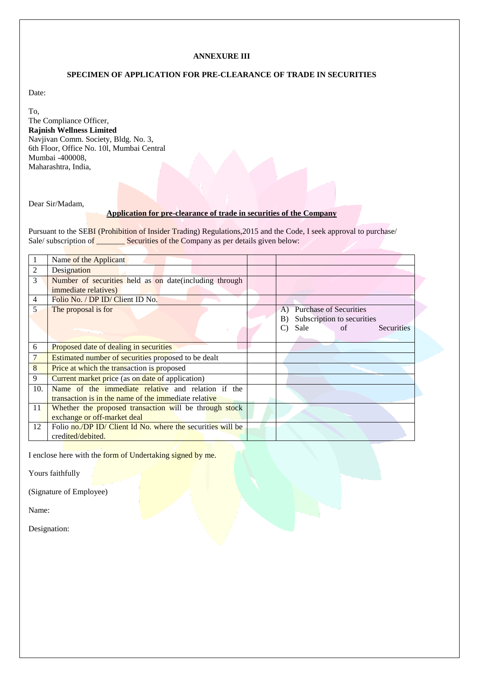#### **ANNEXURE III**

#### **SPECIMEN OF APPLICATION FOR PRE-CLEARANCE OF TRADE IN SECURITIES**

Date:

To,

The Compliance Officer, **Rajnish Wellness Limited** Navjivan Comm. Society, Bldg. No. 3, 6th Floor, Office No. 10l, Mumbai Central Mumbai -400008, Maharashtra, India,

Dear Sir/Madam,

## **Application for pre-clearance of trade in securities of the Company**

Pursuant to the SEBI (Prohibition of Insider Trading) Regulations,2015 and the Code, I seek approval to purchase/ Sale/ subscription of \_\_\_\_\_\_\_\_\_ Securities of the Company as per details given below:

|                | Name of the Applicant                                       |                                     |
|----------------|-------------------------------------------------------------|-------------------------------------|
| 2              | Designation                                                 |                                     |
| 3              | Number of securities held as on date (including through     |                                     |
|                | <i>immediate relatives</i> )                                |                                     |
| $\overline{4}$ | Folio No. / DP ID/ Client ID No.                            |                                     |
| 5              | The proposal is for                                         | <b>Purchase of Securities</b><br>A) |
|                |                                                             | Subscription to securities<br>B)    |
|                |                                                             | Sale<br>of<br>Securities            |
|                |                                                             |                                     |
| 6              | Proposed date of dealing in securities                      |                                     |
|                | <b>Estimated number of securities proposed to be dealt</b>  |                                     |
| 8              | Price at which the transaction is proposed                  |                                     |
| 9              | Current market price (as on date of application)            |                                     |
| 10.            | Name of the immediate relative and relation if the          |                                     |
|                | transaction is in the name of the immediate relative        |                                     |
| <sup>11</sup>  | Whether the proposed transaction will be through stock      |                                     |
|                | exchange or off-market deal                                 |                                     |
| 12             | Folio no./DP ID/ Client Id No. where the securities will be |                                     |
|                | credited/debited.                                           |                                     |

I enclose here with the form of Undertaking signed by me.

Yours faithfully

(Signature of Employee)

Name:

Designation: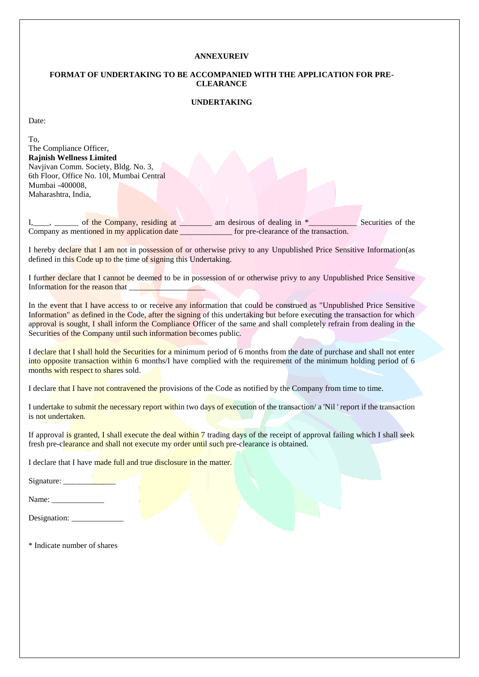#### **ANNEXUREIV**

#### **FORMAT OF UNDERTAKING TO BE ACCOMPANIED WITH THE APPLICATION FOR PRE-CLEARANCE**

## **UNDERTAKING**

Date:

To, The Compliance Officer, **Rajnish Wellness Limited** Navjivan Comm. Society, Bldg. No. 3, 6th Floor, Office No. 10l, Mumbai Central Mumbai -400008, Maharashtra, India,

I, of the Company, residing at am desirous of dealing in \*\_\_\_\_\_\_\_\_\_\_\_ Securities of the Company as mentioned in my application date \_\_\_\_\_\_\_\_\_\_\_\_\_\_ for pre-clearance of the transaction.

I hereby declare that I am not in possession of or otherwise privy to any Unpublished Price Sensitive Information(as defined in this Code up to the time of signing this Undertaking.

I further declare that I cannot be deemed to be in possession of or otherwise privy to any Unpublished Price Sensitive Information for the reason that

In the event that I have access to or receive any information that could be construed as "Unpublished Price Sensitive Information" as defined in the Code, after the signing of this undertaking but before executing the transaction for which approval is sought, I shall inform the Compliance Officer of the same and shall completely refrain from dealing in the Securities of the Company until such information becomes public.

I declare that I shall hold the Securities for a minimum period of 6 months from the date of purchase and shall not enter into opposite transaction within 6 months/I have complied with the requirement of the minimum holding period of 6 months with respect to shares sold.

I declare that I have not contravened the provisions of the Code as notified by the Company from time to time.

I undertake to submit the necessary report within two days of execution of the transaction/ a 'Nil ' report if the transaction is not undertaken.

If approval is granted, I shall execute the deal within 7 trading days of the receipt of approval failing which I shall seek fresh pre-clearance and shall not execute my order until such pre-clearance is obtained.

I declare that I have made full and true disclosure in the matter.

Signature: \_\_\_\_\_\_\_\_\_\_\_\_\_

Name: \_\_\_\_\_\_\_\_\_\_\_\_\_

| Designation: |  |
|--------------|--|
|              |  |

\* Indicate number of shares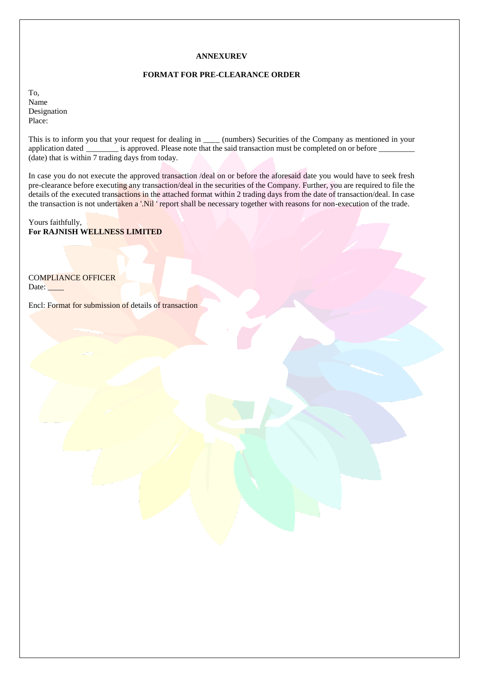#### **ANNEXUREV**

#### **FORMAT FOR PRE-CLEARANCE ORDER**

To, Name Designation Place:

This is to inform you that your request for dealing in \_\_\_\_\_ (numbers) Securities of the Company as mentioned in your application dated \_\_\_\_\_\_\_\_ is approved. Please note that the said transaction must be completed on or before \_\_\_\_\_\_\_\_\_ (date) that is within 7 trading days from today.

In case you do not execute the approved transaction /deal on or before the aforesaid date you would have to seek fresh pre-clearance before executing any transaction/deal in the securities of the Company. Further, you are required to file the details of the executed transactions in the attached format within 2 trading days from the date of transaction/deal. In case the transaction is not undertaken a '.Nil ' report shall be necessary together with reasons for non-execution of the trade.

Yours faithfully, **For RAJNISH WELLNESS LIMITED**

COMPLIANCE OFFICER Date:

Encl: Format for submission of details of transaction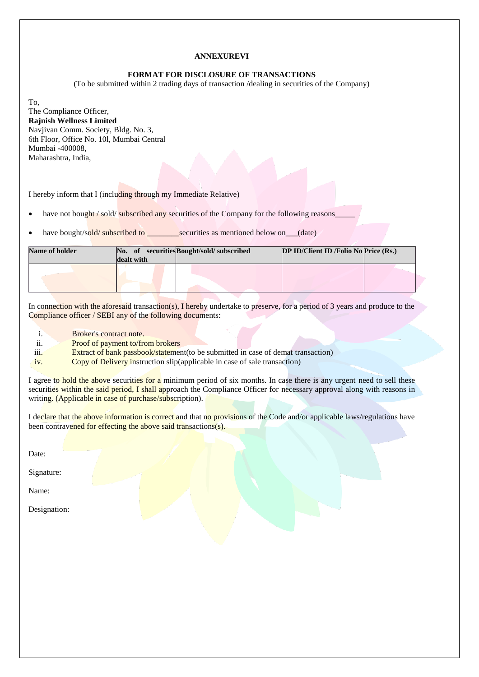#### **ANNEXUREVI**

#### **FORMAT FOR DISCLOSURE OF TRANSACTIONS**

(To be submitted within 2 trading days of transaction /dealing in securities of the Company)

To, The Compliance Officer, **Rajnish Wellness Limited** Navjivan Comm. Society, Bldg. No. 3, 6th Floor, Office No. 10l, Mumbai Central Mumbai -400008, Maharashtra, India,

I hereby inform that I (including through my Immediate Relative)

have not bought / sold/ subscribed any securities of the Company for the following reasons

have bought/sold/ subscribed to \_\_\_\_\_\_\_\_securities as mentioned below on\_\_\_(date)

| <b>Name of holder</b> | dealt with | No. of securities Bought/sold/subscribed | <b>DP ID/Client ID /Folio No Price <math>(Rs)</math>.</b> |  |  |  |  |
|-----------------------|------------|------------------------------------------|-----------------------------------------------------------|--|--|--|--|
|                       |            |                                          |                                                           |  |  |  |  |

In connection with the aforesaid transaction(s), I hereby undertake to preserve, for a period of 3 years and produce to the Compliance officer / SEBI any of the following documents:

- i. Broker's contract note.
- ii. Proof of payment to/from brokers

iii. Extract of bank passbook/statement(to be submitted in case of demat transaction)

iv. Copy of Delivery instruction slip(applicable in case of sale transaction)

I agree to hold the above securities for a minimum period of six months. In case there is any urgent need to sell these securities within the said period, I shall approach the Compliance Officer for necessary approval along with reasons in writing. (Applicable in case of purchase/subscription).

I declare that the above information is correct and that no provisions of the Code and/or applicable laws/regulations have been contravened for effecting the above said transactions(s).

Date:

Signature:

Name:

Designation: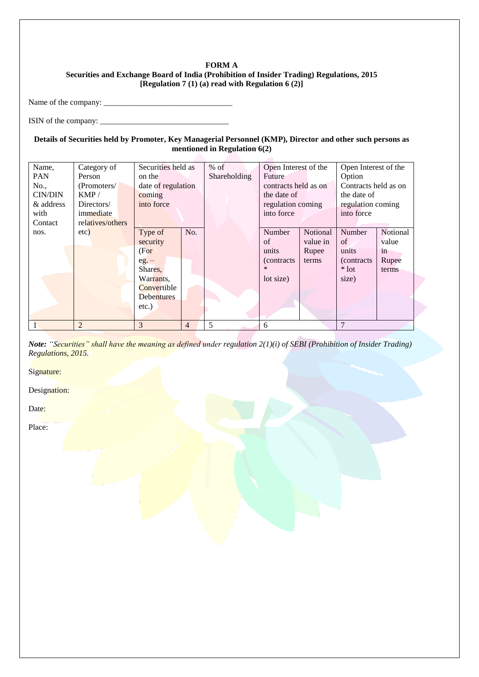## **FORM A Securities and Exchange Board of India (Prohibition of Insider Trading) Regulations, 2015 [Regulation 7 (1) (a) read with Regulation 6 (2)]**

Name of the company: \_\_\_\_\_\_\_\_\_\_\_\_\_\_\_\_\_\_\_\_\_\_\_\_\_\_\_\_\_\_\_\_

ISIN of the company: \_\_\_\_\_\_\_\_\_\_\_\_\_\_\_\_\_\_\_\_\_\_\_\_\_\_\_\_\_\_\_\_

## **Details of Securities held by Promoter, Key Managerial Personnel (KMP), Director and other such persons as mentioned in Regulation 6(2)**

| Name,          | Category of      | Securities held as |                | $%$ of | Open Interest of the |                      | Open Interest of the |                      |  |
|----------------|------------------|--------------------|----------------|--------|----------------------|----------------------|----------------------|----------------------|--|
| <b>PAN</b>     | Person<br>on the |                    |                |        | Future               |                      | Option               |                      |  |
| No.,           | (Promoters/      | date of regulation |                |        |                      | contracts held as on |                      | Contracts held as on |  |
| <b>CIN/DIN</b> | KMP/             | coming             |                |        | the date of          |                      | the date of          |                      |  |
| & address      | Directors/       | into force         |                |        | regulation coming    |                      | regulation coming    |                      |  |
| with           | immediate        |                    |                |        | into force           |                      |                      |                      |  |
| Contact        | relatives/others |                    |                |        |                      |                      |                      |                      |  |
| nos.           | etc)             | Type of            | No.            |        | Number               | Notional             | Number               | Notional             |  |
|                |                  | security           |                |        | of                   | value in             | of                   | value                |  |
|                |                  | (For               |                |        | units                | Rupee                | units                | in                   |  |
|                |                  | $eg. -$            |                |        | (contracts)          | terms                | <i>(contracts)</i>   | Rupee                |  |
|                |                  | Shares,            |                |        | *                    |                      | $*$ lot              | terms                |  |
|                |                  | Warrants,          |                |        | lot size)            |                      | size)                |                      |  |
|                |                  | Convertible        |                |        |                      |                      |                      |                      |  |
|                |                  | <b>Debentures</b>  |                |        |                      |                      |                      |                      |  |
|                |                  | $etc.$ )           |                |        |                      |                      |                      |                      |  |
|                |                  |                    |                |        |                      |                      |                      |                      |  |
|                | $\overline{2}$   | 3                  | $\overline{4}$ | 5      | 6                    |                      | 7                    |                      |  |

*Note: "Securities" shall have the meaning as defined under regulation 2(1)(i) of SEBI (Prohibition of Insider Trading) Regulations, 2015.*

Signature:

Designation:

Date:

Place: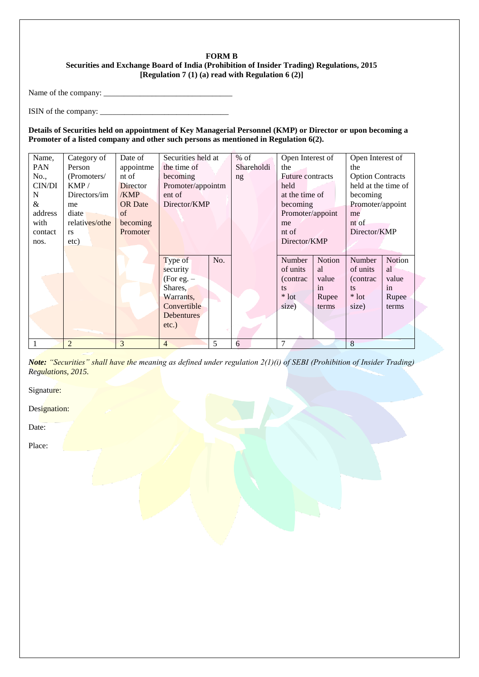## **FORM B Securities and Exchange Board of India (Prohibition of Insider Trading) Regulations, 2015 [Regulation 7 (1) (a) read with Regulation 6 (2)]**

Name of the company: \_\_\_\_\_\_\_\_\_\_\_\_\_\_\_\_\_\_\_\_\_\_\_\_\_\_\_\_\_\_\_\_

ISIN of the company:  $\frac{1}{2}$   $\frac{1}{2}$   $\frac{1}{2}$   $\frac{1}{2}$   $\frac{1}{2}$   $\frac{1}{2}$   $\frac{1}{2}$   $\frac{1}{2}$   $\frac{1}{2}$   $\frac{1}{2}$   $\frac{1}{2}$   $\frac{1}{2}$   $\frac{1}{2}$   $\frac{1}{2}$   $\frac{1}{2}$   $\frac{1}{2}$   $\frac{1}{2}$   $\frac{1}{2}$   $\frac{1}{2}$   $\frac{1}{2}$ 

**Details of Securities held on appointment of Key Managerial Personnel (KMP) or Director or upon becoming a Promoter of a listed company and other such persons as mentioned in Regulation 6(2).**

| Name,      | Category of    | Date of         | Securities held at  |     | $%$ of     | Open Interest of        |        | Open Interest of        |        |  |
|------------|----------------|-----------------|---------------------|-----|------------|-------------------------|--------|-------------------------|--------|--|
| <b>PAN</b> | Person         | appointme       | the time of         |     | Shareholdi | the                     |        | the                     |        |  |
| No.,       | (Promoters/    | nt of           | becoming            |     | ng         | <b>Future contracts</b> |        | <b>Option Contracts</b> |        |  |
| CIN/DI     | KMP/           | <b>Director</b> | Promoter/appointm   |     |            | held                    |        | held at the time of     |        |  |
| N          | Directors/im   | /KMP            | ent of              |     |            | at the time of          |        | becoming                |        |  |
| &          | me             | <b>OR</b> Date  | Director/KMP        |     |            | becoming                |        | Promoter/appoint        |        |  |
| address    | diate          | of              |                     |     |            | Promoter/appoint        |        | me                      |        |  |
| with       | relatives/othe | becoming        |                     |     |            | me                      |        | nt of                   |        |  |
| contact    | <b>rs</b>      | Promoter        |                     |     |            | nt of                   |        | Director/KMP            |        |  |
| nos.       | etc)           |                 |                     |     |            | Director/KMP            |        |                         |        |  |
|            |                |                 |                     |     |            |                         |        |                         |        |  |
|            |                |                 | Type of             | No. |            | Number                  | Notion | Number                  | Notion |  |
|            |                |                 | security            |     |            | of units                | al     | of units                | al     |  |
|            |                |                 | (For eg. $-$        |     |            | (contrac                | value  | (contrac)               | value  |  |
|            |                |                 | Shares,             |     |            | ts                      | in     | ts                      | in     |  |
|            |                |                 | Warrants,           |     |            | $*$ lot                 | Rupee  | $*$ lot                 | Rupee  |  |
|            |                |                 | Convertible         |     |            | size)                   | terms  | size)                   | terms  |  |
|            |                |                 | Debentures          |     |            |                         |        |                         |        |  |
|            |                |                 | $etc.$ )            |     |            |                         |        |                         |        |  |
|            |                |                 |                     |     |            |                         |        |                         |        |  |
|            | $\overline{2}$ | 3               | 5<br>$\overline{4}$ |     | 6          | $\tau$                  |        | 8                       |        |  |

*Note: "Securities" shall have the meaning as defined under regulation 2(1)(i) of SEBI (Prohibition of Insider Trading) Regulations, 2015.*

Signature:

Designation:

Date:

Place: